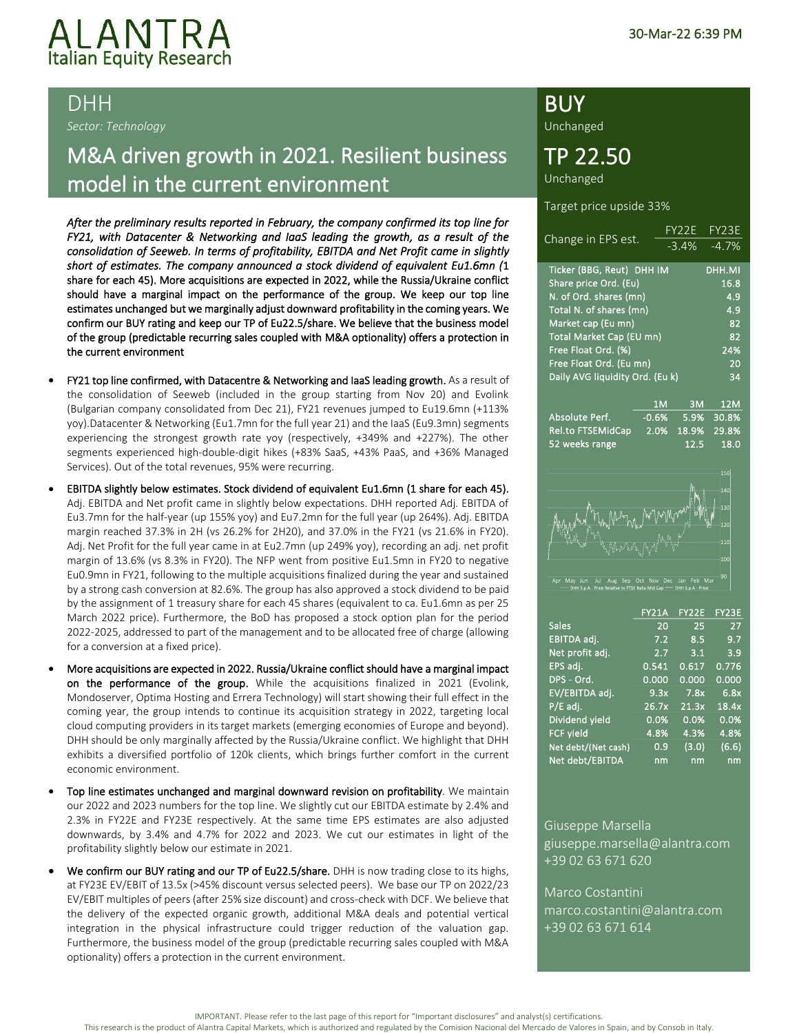## ALANTRA<br>Italian Equity Research l

*Sector: Technology*

### M&A driven growth in 2021. Resilient business model in the current environment

*After the preliminary results reported in February, the company confirmed its top line for FY21, with Datacenter & Networking and IaaS leading the growth, as a result of the consolidation of Seeweb. In terms of profitability, EBITDA and Net Profit came in slightly short of estimates. The company announced a stock dividend of equivalent Eu1.6mn (*1 share for each 45). More acquisitions are expected in 2022, while the Russia/Ukraine conflict should have a marginal impact on the performance of the group. We keep our top line estimates unchanged but we marginally adjust downward profitability in the coming years. We confirm our BUY rating and keep our TP of Eu22.5/share. We believe that the business model of the group (predictable recurring sales coupled with M&A optionality) offers a protection in the current environment

- FY21 top line confirmed, with Datacentre & Networking and laaS leading growth. As a result of the consolidation of Seeweb (included in the group starting from Nov 20) and Evolink (Bulgarian company consolidated from Dec 21), FY21 revenues jumped to Eu19.6mn (+113% yoy).Datacenter & Networking (Eu1.7mn for the full year 21) and the IaaS (Eu9.3mn) segments experiencing the strongest growth rate yoy (respectively, +349% and +227%). The other segments experienced high-double-digit hikes (+83% SaaS, +43% PaaS, and +36% Managed Services). Out of the total revenues, 95% were recurring.
- EBITDA slightly below estimates. Stock dividend of equivalent Eu1.6mn (1 share for each 45). Adj. EBITDA and Net profit came in slightly below expectations. DHH reported Adj. EBITDA of Eu3.7mn for the half-year (up 155% yoy) and Eu7.2mn for the full year (up 264%). Adj. EBITDA margin reached 37.3% in 2H (vs 26.2% for 2H20), and 37.0% in the FY21 (vs 21.6% in FY20). Adj. Net Profit for the full year came in at Eu2.7mn (up 249% yoy), recording an adj. net profit margin of 13.6% (vs 8.3% in FY20). The NFP went from positive Eu1.5mn in FY20 to negative Eu0.9mn in FY21, following to the multiple acquisitions finalized during the year and sustained by a strong cash conversion at 82.6%. The group has also approved a stock dividend to be paid by the assignment of 1 treasury share for each 45 shares (equivalent to ca. Eu1.6mn as per 25 March 2022 price). Furthermore, the BoD has proposed a stock option plan for the period 2022-2025, addressed to part of the management and to be allocated free of charge (allowing for a conversion at a fixed price).
- More acquisitions are expected in 2022. Russia/Ukraine conflict should have a marginal impact on the performance of the group. While the acquisitions finalized in 2021 (Evolink, Mondoserver, Optima Hosting and Errera Technology) will start showing their full effect in the coming year, the group intends to continue its acquisition strategy in 2022, targeting local cloud computing providers in its target markets (emerging economies of Europe and beyond). DHH should be only marginally affected by the Russia/Ukraine conflict. We highlight that DHH exhibits a diversified portfolio of 120k clients, which brings further comfort in the current economic environment.
- Top line estimates unchanged and marginal downward revision on profitability. We maintain our 2022 and 2023 numbers for the top line. We slightly cut our EBITDA estimate by 2.4% and 2.3% in FY22E and FY23E respectively. At the same time EPS estimates are also adjusted downwards, by 3.4% and 4.7% for 2022 and 2023. We cut our estimates in light of the profitability slightly below our estimate in 2021.
- We confirm our BUY rating and our TP of Eu22.5/share. DHH is now trading close to its highs, at FY23E EV/EBIT of 13.5x (>45% discount versus selected peers). We base our TP on 2022/23 EV/EBIT multiples of peers (after 25% size discount) and cross-check with DCF. We believe that the delivery of the expected organic growth, additional M&A deals and potential vertical integration in the physical infrastructure could trigger reduction of the valuation gap. Furthermore, the business model of the group (predictable recurring sales coupled with M&A optionality) offers a protection in the current environment.

### DHH BUY AND THE BUY AND THE BUY AND THE BUY AND THE BUY AND THE BUY AND THE BUY AND THE BUY AND THE BUY AND THE BUY

Unchanged

### TP 22.50

Unchanged

Target price upside 33%

|                                 |                | FY <sub>2</sub> 2E | FY <sub>23E</sub> |
|---------------------------------|----------------|--------------------|-------------------|
| Change in EPS est.              |                | $-3.4\%$           | $-4.7%$           |
| Ticker (BBG, Reut) DHH IM       |                |                    | DHH.MI            |
| Share price Ord. (Eu)           |                |                    | 16.8              |
| N. of Ord. shares (mn)          |                |                    | 4.9               |
| Total N. of shares (mn)         |                |                    | 4.9               |
| Market cap (Eu mn)              |                |                    | 82                |
| Total Market Cap (EU mn)        |                |                    | 82                |
| Free Float Ord. (%)             |                |                    | 24%               |
| Free Float Ord. (Eu mn)         |                |                    | 20                |
| Daily AVG liquidity Ord. (Eu k) |                |                    | 34                |
|                                 |                |                    |                   |
|                                 | 1 <sub>M</sub> | 3M                 | 12M               |
| Absolute Perf.                  | $-0.6%$        | 5.9%               | 30.8%             |
| <b>Rel.to FTSEMidCap</b>        | 2.0%           | 18.9%              | 29.8%             |
| 52 weeks range                  |                | 12.5               | 18.0              |



May Jun Jul Aug Sep Oct Nov Dec Jan Feb M<br>• DHH S.p.A - Price Relative to FTSE Italia Mid Cap —— DHH S.p.A - Price

|                     | <b>FY21A</b> | FY22E | FY23E |
|---------------------|--------------|-------|-------|
| <b>Sales</b>        | 20           | 25    | 27    |
| EBITDA adj.         | 7.2          | 8.5   | 9.7   |
| Net profit adj.     | 2.7          | 3.1   | 3.9   |
| EPS adj.            | 0.541        | 0.617 | 0.776 |
| DPS - Ord.          | 0.000        | 0.000 | 0.000 |
| EV/EBITDA adj.      | 9.3x         | 7.8x  | 6.8x  |
| P/E adj.            | 26.7x        | 21.3x | 18.4x |
| Dividend yield      | 0.0%         | 0.0%  | 0.0%  |
| <b>FCF yield</b>    | 4.8%         | 4.3%  | 4.8%  |
| Net debt/(Net cash) | 0.9          | (3.0) | (6.6) |
| Net debt/EBITDA     | nm           | nm    | nm    |

Giuseppe Marsella giuseppe.marsella@alantra.com +39 02 63 671 620

Marco Costantini marco.costantini@alantra.com +39 02 63 671 614

IMPORTANT. Please refer to the last page of this report for "Important disclosures" and analyst(s) certifications.

This research is the product of Alantra Capital Markets, which is authorized and regulated by the Comision Nacional del Mercado de Valores in Spain, and by Consob in Italy.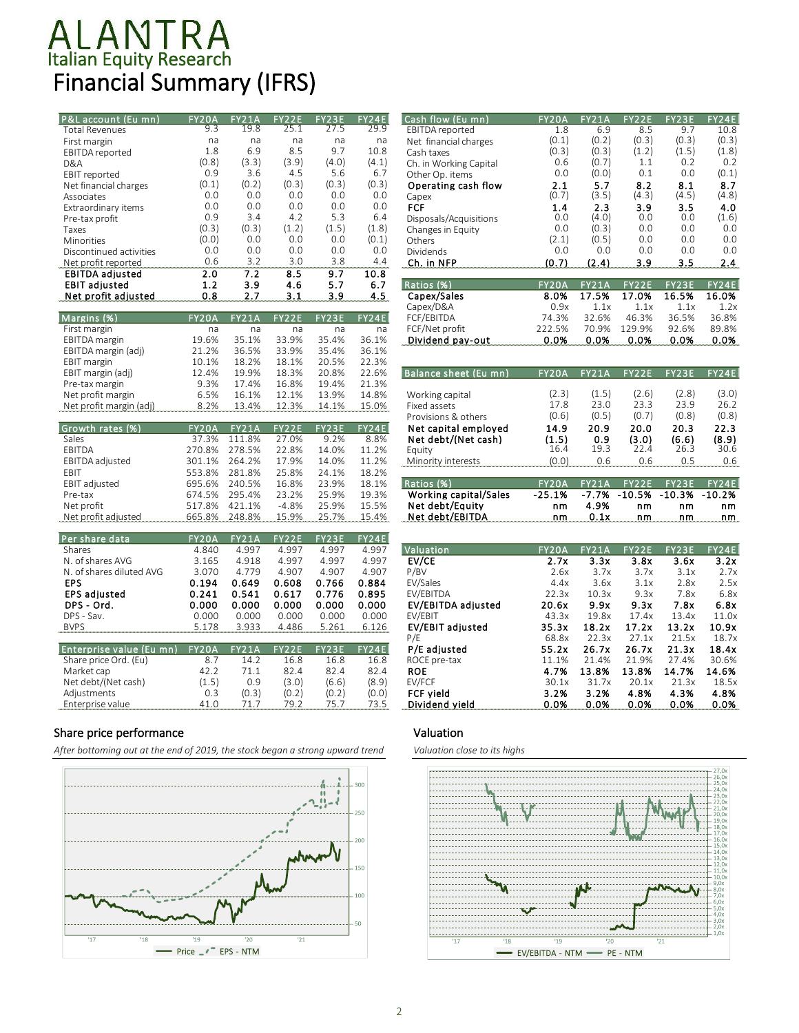## Italian Equity Research Financial Summary (IFRS)

| P&L account (Eu mn)      | <b>FY20A</b> | FY21A        | FY22E   | FY23E | FY24E        | Cash flow (Eu mn)         | FY20A    | <b>FY21A</b> | FY22E    | FY23E    | FY24E    |
|--------------------------|--------------|--------------|---------|-------|--------------|---------------------------|----------|--------------|----------|----------|----------|
| <b>Total Revenues</b>    | 9.3          | 19.8         | 25.1    | 27.5  | 29.9         | EBITDA reported           | 1.8      | 6.9          | 8.5      | 9.7      | 10.8     |
| First margin             | na           | na           | na      | na    | na           | Net financial charges     | (0.1)    | (0.2)        | (0.3)    | (0.3)    | (0.3)    |
| EBITDA reported          | 1.8          | 6.9          | 8.5     | 9.7   | 10.8         | Cash taxes                | (0.3)    | (0.3)        | (1.2)    | (1.5)    | (1.8)    |
| D&A                      | (0.8)        | (3.3)        | (3.9)   | (4.0) | (4.1)        | Ch. in Working Capital    | 0.6      | (0.7)        | 1.1      | 0.2      | 0.2      |
| EBIT reported            | 0.9          | 3.6          | 4.5     | 5.6   | 6.7          | Other Op. items           | 0.0      | (0.0)        | 0.1      | 0.0      | (0.1)    |
| Net financial charges    | (0.1)        | (0.2)        | (0.3)   | (0.3) | (0.3)        | Operating cash flow       | 2.1      | 5.7          | 8.2      | 8.1      | 8.7      |
| Associates               | 0.0          | 0.0          | 0.0     | 0.0   | 0.0          | Capex                     | (0.7)    | (3.5)        | (4.3)    | (4.5)    | (4.8)    |
| Extraordinary items      | 0.0          | 0.0          | 0.0     | 0.0   | 0.0          | <b>FCF</b>                | 1.4      | 2.3          | 3.9      | 3.5      | 4.0      |
| Pre-tax profit           | 0.9          | 3.4          | 4.2     | 5.3   | 6.4          | Disposals/Acquisitions    | 0.0      | (4.0)        | 0.0      | 0.0      | (1.6)    |
| Taxes                    | (0.3)        | (0.3)        | (1.2)   | (1.5) | (1.8)        | Changes in Equity         | 0.0      | (0.3)        | 0.0      | 0.0      | 0.0      |
| Minorities               | (0.0)        | 0.0          | 0.0     | 0.0   | (0.1)        | Others                    | (2.1)    | (0.5)        | 0.0      | 0.0      | 0.0      |
| Discontinued activities  | 0.0          | 0.0          | 0.0     | 0.0   | 0.0          | Dividends                 | 0.0      | 0.0          | 0.0      | 0.0      | 0.0      |
| Net profit reported      | 0.6          | 3.2          | 3.0     | 3.8   | 4.4          | Ch. in NFP                | (0.7)    | (2.4)        | 3.9      | 3.5      | 2.4      |
| <b>EBITDA</b> adjusted   | 2.0          | 7.2          | 8.5     | 9.7   | 10.8         |                           |          |              |          |          |          |
|                          |              |              |         |       |              | Ratios (%)                | FY20A    | FY21A        | FY22E    | FY23E    | FY24E    |
| <b>EBIT adjusted</b>     | 1.2          | 3.9          | 4.6     | 5.7   | 6.7          |                           |          |              |          |          |          |
| Net profit adjusted      | 0.8          | 2.7          | 3.1     | 3.9   | 4.5          | Capex/Sales               | 8.0%     | 17.5%        | 17.0%    | 16.5%    | 16.0%    |
|                          |              |              |         |       |              | Capex/D&A                 | 0.9x     | 1.1x         | 1.1x     | 1.1x     | 1.2x     |
| Margins (%)              | <b>FY20A</b> | <b>FY21A</b> | FY22E   | FY23E | FY24E        | FCF/EBITDA                | 74.3%    | 32.6%        | 46.3%    | 36.5%    | 36.8%    |
| First margin             | na           | na           | na      | na    | na           | FCF/Net profit            | 222.5%   | 70.9%        | 129.9%   | 92.6%    | 89.8%    |
| <b>EBITDA</b> margin     | 19.6%        | 35.1%        | 33.9%   | 35.4% | 36.1%        | Dividend pay-out          | 0.0%     | 0.0%         | 0.0%     | 0.0%     | 0.0%     |
| EBITDA margin (adj)      | 21.2%        | 36.5%        | 33.9%   | 35.4% | 36.1%        |                           |          |              |          |          |          |
| <b>EBIT</b> margin       | 10.1%        | 18.2%        | 18.1%   | 20.5% | 22.3%        |                           |          |              |          |          |          |
| EBIT margin (adj)        | 12.4%        | 19.9%        | 18.3%   | 20.8% | 22.6%        | Balance sheet (Eu mn)     | FY20A    | FY21A        | FY22E    | FY23E    | FY24E    |
| Pre-tax margin           | 9.3%         | 17.4%        | 16.8%   | 19.4% | 21.3%        |                           |          |              |          |          |          |
| Net profit margin        | 6.5%         | 16.1%        | 12.1%   | 13.9% | 14.8%        | Working capital           | (2.3)    | (1.5)        | (2.6)    | (2.8)    | (3.0)    |
| Net profit margin (adj)  | 8.2%         | 13.4%        | 12.3%   | 14.1% | 15.0%        | Fixed assets              | 17.8     | 23.0         | 23.3     | 23.9     | 26.2     |
|                          |              |              |         |       |              | Provisions & others       | (0.6)    | (0.5)        | (0.7)    | (0.8)    | (0.8)    |
| Growth rates (%)         | FY20A        | <b>FY21A</b> | FY22E   | FY23E | FY24E        | Net capital employed      | 14.9     | 20.9         | 20.0     | 20.3     | 22.3     |
| Sales                    | 37.3%        | 111.8%       | 27.0%   | 9.2%  | 8.8%         | Net debt/(Net cash)       | (1.5)    | 0.9          | (3.0)    | (6.6)    | (8.9)    |
| EBITDA                   | 270.8%       | 278.5%       | 22.8%   | 14.0% | 11.2%        | Eauity                    | 16.4     | 19.3         | 22.4     | 26.3     | 30.6     |
| EBITDA adjusted          | 301.1%       | 264.2%       | 17.9%   | 14.0% | 11.2%        | Minority interests        | (0.0)    | 0.6          | 0.6      | 0.5      | 0.6      |
| EBIT                     | 553.8%       | 281.8%       | 25.8%   | 24.1% | 18.2%        |                           |          |              |          |          |          |
| EBIT adjusted            | 695.6%       | 240.5%       | 16.8%   | 23.9% | 18.1%        | Ratios (%)                | FY20A    | <b>FY21A</b> | FY22E    | FY23E    | FY24E    |
| Pre-tax                  | 674.5%       | 295.4%       | 23.2%   | 25.9% | 19.3%        | Working capital/Sales     | $-25.1%$ | $-7.7%$      | $-10.5%$ | $-10.3%$ | $-10.2%$ |
| Net profit               | 517.8%       | 421.1%       | $-4.8%$ | 25.9% | 15.5%        | Net debt/Equity           | nm       | 4.9%         | nm       | nm       | nm       |
| Net profit adjusted      | 665.8%       | 248.8%       | 15.9%   | 25.7% | 15.4%        | Net debt/EBITDA           | nm       | 0.1x         | nm       | nm       | nm       |
|                          |              |              |         |       |              |                           |          |              |          |          |          |
| Per share data           | FY20A        | FY21A        | FY22E   | FY23E | <b>FY24E</b> |                           |          |              |          |          |          |
| Shares                   | 4.840        | 4.997        | 4.997   | 4.997 | 4.997        | Valuation                 | FY20A    | <b>FY21A</b> | FY22E    | FY23E    | FY24E    |
| N. of shares AVG         | 3.165        | 4.918        | 4.997   | 4.997 | 4.997        | EV/CE                     | 2.7x     | 3.3x         | 3.8x     | 3.6x     | 3.2x     |
| N. of shares diluted AVG | 3.070        | 4.779        | 4.907   | 4.907 | 4.907        | P/BV                      | 2.6x     | 3.7x         | 3.7x     | 3.1x     | 2.7x     |
| <b>EPS</b>               | 0.194        | 0.649        | 0.608   | 0.766 | 0.884        | EV/Sales                  | 4.4x     | 3.6x         | 3.1x     | 2.8x     | 2.5x     |
| <b>EPS</b> adjusted      | 0.241        | 0.541        | 0.617   | 0.776 | 0.895        | EV/EBITDA                 | 22.3x    | 10.3x        | 9.3x     | 7.8x     | 6.8x     |
| DPS - Ord.               | 0.000        | 0.000        | 0.000   | 0.000 | 0.000        | <b>EV/EBITDA adjusted</b> | 20.6x    | 9.9x         | 9.3x     | 7.8x     | 6.8x     |
| DPS - Sav.               | 0.000        | 0.000        | 0.000   | 0.000 | 0.000        | EV/EBIT                   | 43.3x    | 19.8x        | 17.4x    | 13.4x    | 11.0x    |
|                          |              |              |         |       |              |                           |          |              |          |          |          |
| <b>BVPS</b>              | 5.178        | 3.933        | 4.486   | 5.261 | 6.126        | EV/EBIT adjusted          | 35.3x    | 18.2x        | 17.2x    | 13.2x    | 10.9x    |
|                          |              |              |         |       |              | P/E                       | 68.8x    | 22.3x        | 27.1x    | 21.5x    | 18.7x    |
| Enterprise value (Eu mn) | <b>FY20A</b> | FY21A        | FY22E   | FY23E | FY24E        | P/E adjusted              | 55.2x    | 26.7x        | 26.7x    | 21.3x    | 18.4x    |
| Share price Ord. (Eu)    | 8.7          | 14.2         | 16.8    | 16.8  | 16.8         | ROCE pre-tax              | 11.1%    | 21.4%        | 21.9%    | 27.4%    | 30.6%    |
| Market cap               | 42.2         | 71.1         | 82.4    | 82.4  | 82.4         | <b>ROE</b>                | 4.7%     | 13.8%        | 13.8%    | 14.7%    | 14.6%    |
| Net debt/(Net cash)      | (1.5)        | 0.9          | (3.0)   | (6.6) | (8.9)        | EV/FCF                    | 30.1x    | 31.7x        | 20.1x    | 21.3x    | 18.5x    |
| Adjustments              | 0.3          | (0.3)        | (0.2)   | (0.2) | (0.0)        | <b>FCF vield</b>          | 3.2%     | 3.2%         | 4.8%     | 4.3%     | 4.8%     |
| Enterprise value         | 41.0         | 71.7         | 79.2    | 75.7  | 73.5         | Dividend vield            | 0.0%     | 0.0%         | 0.0%     | 0.0%     | 0.0%     |

#### Share price performance

*After bottoming out at the end of 2019, the stock began a strong upward trend*



| P&L account (Eu mn)     | FY20A        | FY21A         | FY22E   | FY23E | FY24E        | Cash flow (Eu mn)            | FY20A          | FY21A        | FY22E                        | FY23E          | FY24E |
|-------------------------|--------------|---------------|---------|-------|--------------|------------------------------|----------------|--------------|------------------------------|----------------|-------|
| <b>Total Revenues</b>   | 9.3          | 19.8          | 25.1    | 27.5  | 29.9         | EBITDA reported              | 1.8            | 6.9          | 8.5                          | 9.7            | 10.8  |
| First margin            | na           | na            | na      | na    | na           | Net financial charges        | (0.1)          | (0.2)        | (0.3)                        | (0.3)          | (0.3) |
| EBITDA reported         | 1.8          | 6.9           | 8.5     | 9.7   | 10.8         | Cash taxes                   | (0.3)          | (0.3)        | (1.2)                        | (1.5)          | (1.8) |
| D&A                     | (0.8)        | (3.3)         | (3.9)   | (4.0) | (4.1)        | Ch. in Working Capital       | 0.6            | (0.7)        | 1.1                          | 0.2            | 0.2   |
| EBIT reported           | 0.9          | 3.6           | 4.5     | 5.6   | 6.7          | Other Op. items              | 0.0            | (0.0)        | 0.1                          | 0.0            | (0.1) |
| Net financial charges   | (0.1)        | (0.2)         | (0.3)   | (0.3) | (0.3)        | Operating cash flow          | 2.1            | 5.7          | 8.2                          | 8.1            | 8.7   |
| Associates              | 0.0          | 0.0           | 0.0     | 0.0   | 0.0          | Capex                        | (0.7)          | (3.5)        | (4.3)                        | (4.5)          | (4.8) |
| Extraordinary items     | 0.0          | 0.0           | 0.0     | 0.0   | 0.0          | <b>FCF</b>                   | 1.4            | 2.3          | 3.9                          | 3.5            | 4.0   |
| Pre-tax profit          | 0.9          | 3.4           | 4.2     | 5.3   | 6.4          | Disposals/Acquisitions       | 0.0            | (4.0)        | 0.0                          | 0.0            | (1.6) |
| Taxes                   | (0.3)        | (0.3)         | (1.2)   | (1.5) | (1.8)        | Changes in Equity            | 0.0            | (0.3)        | 0.0                          | 0.0            | 0.0   |
| Minorities              | (0.0)        | 0.0           | 0.0     | 0.0   | (0.1)        | Others                       | (2.1)          | (0.5)        | 0.0                          | 0.0            | 0.0   |
| Discontinued activities | 0.0          | 0.0           | 0.0     | 0.0   | 0.0          | <b>Dividends</b>             | 0.0            | 0.0          | 0.0                          | 0.0            | 0.0   |
| Net profit reported     | 0.6          | 3.2           | 3.0     | 3.8   | 4.4          | Ch. in NFP                   | (0.7)          | (2.4)        | 3.9                          | 3.5            | 2.4   |
| <b>EBITDA</b> adjusted  | 2.0          | 7.2           | 8.5     | 9.7   | 10.8         |                              |                |              |                              |                |       |
| <b>EBIT adjusted</b>    | 1.2          | 3.9           | 4.6     | 5.7   | 6.7          | Ratios (%)                   | <b>FY20A</b>   | <b>FY21A</b> | <b>FY22E</b>                 | <b>FY23E</b>   | FY24E |
| Net profit adjusted     | 0.8          | 2.7           | 3.1     | 3.9   | 4.5          | Capex/Sales                  | 8.0%           | 17.5%        | 17.0%                        | 16.5%          | 16.0% |
|                         |              |               |         |       |              | Capex/D&A                    | 0.9x           | 1.1x         | 1.1x                         | 1.1x           | 1.2x  |
| Margins (%)             | FY20A        | <b>FY21A</b>  | FY22E   | FY23E | <b>FY24E</b> | FCF/EBITDA                   | 74.3%          | 32.6%        | 46.3%                        | 36.5%          | 36.8% |
| First margin            | na           | na            | na      | na    | na           | FCF/Net profit               | 222.5%         | 70.9%        | 129.9%                       | 92.6%          | 89.8% |
| EBITDA margin           | 19.6%        | 35.1%         | 33.9%   | 35.4% | 36.1%        | Dividend pay-out             | 0.0%           | 0.0%         | 0.0%                         | 0.0%           | 0.0%  |
| EBITDA margin (adj)     | 21.2%        | 36.5%         | 33.9%   | 35.4% | 36.1%        |                              |                |              |                              |                |       |
| EBIT margin             | 10.1%        | 18.2%         | 18.1%   | 20.5% | 22.3%        |                              |                |              |                              |                |       |
| EBIT margin (adj)       | 12.4%        | 19.9%         | 18.3%   | 20.8% | 22.6%        | <b>Balance sheet (Eu mn)</b> | <b>FY20A</b>   | <b>FY21A</b> | FY22E                        | <b>FY23E</b>   | FY24E |
| Pre-tax margin          | 9.3%         | 17.4%         | 16.8%   | 19.4% | 21.3%        |                              |                |              |                              |                |       |
| Net profit margin       | 6.5%         | 16.1%         | 12.1%   | 13.9% | 14.8%        | Working capital              | (2.3)          | (1.5)        | (2.6)                        | (2.8)          | (3.0) |
| Net profit margin (adj) | 8.2%         | 13.4%         | 12.3%   | 14.1% | 15.0%        | Fixed assets                 | 17.8           | 23.0         | 23.3                         | 23.9           | 26.2  |
|                         |              |               |         |       |              | Provisions & others          | (0.6)          | (0.5)        | (0.7)                        | (0.8)          | (0.8) |
| Growth rates (%)        | <b>FY20A</b> | <b>FY21A</b>  | FY22E   | FY23E | <b>FY24E</b> | Net capital employed         | 14.9           | 20.9         | 20.0                         | 20.3           | 22.3  |
| Sales                   | 37.3%        | 111.8%        | 27.0%   | 9.2%  | 8.8%         | Net debt/(Net cash)          | (1.5)          | 0.9          | (3.0)                        | (6.6)          | (8.9) |
| EBITDA                  | 270.8%       | 278.5%        | 22.8%   | 14.0% | 11.2%        | Equity                       | 16.4           | 19.3         | 22.4                         | 26.3           | 30.6  |
| EBITDA adjusted         | 301.1%       | 264.2%        | 17.9%   | 14.0% | 11.2%        | Minority interests           | (0.0)          | 0.6          | 0.6                          | 0.5            | 0.6   |
| EBIT                    | 553.8%       | 281.8%        | 25.8%   | 24.1% | 18.2%        |                              |                |              |                              |                |       |
| <b>EBIT</b> adiusted    | 695.6%       | 240.5%        | 16.8%   | 23.9% | 18.1%        | Ratios (%)                   | <b>FY20A</b>   | <b>FY21A</b> | FY22E                        | <b>FY23E</b>   | FY24E |
| Pre-tax                 | 674.5%       | 295.4%        | 23.2%   | 25.9% | 19.3%        | Working capital/Sales        | $-25.1%$       |              | $-7.7% -10.5% -10.3% -10.2%$ |                |       |
| Not profit              |              | 517 8% 471 1% | $-1.8%$ | 250/  | $15.5\%$     | Net debt/Fauity              | n <sub>m</sub> | 4.9%         | n <sub>m</sub>               | n <sub>m</sub> | nm    |

| Per share data           | FY20A        | <b>FY21A</b> | FY22E | FY23E | FY24E        |                    |       |              |       |       |              |
|--------------------------|--------------|--------------|-------|-------|--------------|--------------------|-------|--------------|-------|-------|--------------|
| Shares                   | 4.840        | 4.997        | 4.997 | 4.997 | 4.997        | <b>Valuation</b>   | FY20A | <b>FY21A</b> | FY22E | FY23E | <b>FY24E</b> |
| N. of shares AVG         | 3.165        | 4.918        | 4.997 | 4.997 | 4.997        | EV/CE              | 2.7x  | 3.3x         | 3.8x  | 3.6x  | 3.2x         |
| N. of shares diluted AVG | 3.070        | 4.779        | 4.907 | 4.907 | 4.907        | P/BV               | 2.6x  | 3.7x         | 3.7x  | 3.1x  | 2.7x         |
| <b>EPS</b>               | 0.194        | 0.649        | 0.608 | 0.766 | 0.884        | EV/Sales           | 4.4x  | 3.6x         | 3.1x  | 2.8x  | 2.5x         |
| <b>EPS</b> adjusted      | 0.241        | 0.541        | 0.617 | 0.776 | 0.895        | EV/EBITDA          | 22.3x | 10.3x        | 9.3x  | 7.8x  | 6.8x         |
| DPS - Ord.               | 0.000        | 0.000        | 0.000 | 0.000 | 0.000        | EV/EBITDA adjusted | 20.6x | 9.9x         | 9.3x  | 7.8x  | 6.8x         |
| DPS - Sav.               | 0.000        | 0.000        | 0.000 | 0.000 | 0.000        | EV/EBIT            | 43.3x | 19.8x        | 17.4x | 13.4x | 11.0x        |
| <b>BVPS</b>              | 5.178        | 3.933        | 4.486 | 5.261 | 6.126        | EV/EBIT adjusted   | 35.3x | 18.2x        | 17.2x | 13.2x | 10.9x        |
|                          |              |              |       |       |              | P/E                | 68.8x | 22.3x        | 27.1x | 21.5x | 18.7x        |
| Enterprise value (Eu mn) | <b>FY20A</b> | <b>FY21A</b> | FY22E | FY23E | <b>FY24E</b> | P/E adjusted       | 55.2x | 26.7x        | 26.7x | 21.3x | 18.4x        |
| Share price Ord. (Eu)    | 8.7          | 14.2         | 16.8  | 16.8  | 16.8         | ROCE pre-tax       | 11.1% | 21.4%        | 21.9% | 27.4% | 30.6%        |
| Market cap               | 42.2         | 71.1         | 82.4  | 82.4  | 82.4         | <b>ROE</b>         | 4.7%  | 13.8%        | 13.8% | 14.7% | 14.6%        |
| Net debt/(Net cash)      | (1.5)        | 0.9          | (3.0) | (6.6) | (8.9)        | EV/FCF             | 30.1x | 31.7x        | 20.1x | 21.3x | 18.5x        |
| Adjustments              | 0.3          | (0.3)        | (0.2) | (0.2) | (0.0)        | <b>FCF vield</b>   | 3.2%  | 3.2%         | 4.8%  | 4.3%  | 4.8%         |
| Enterprise value         | 41.0         | 71.7         | 79.2  | 75.7  | 73.5         | Dividend vield     | 0.0%  | 0.0%         | 0.0%  | 0.0%  | 0.0%         |

#### Valuation

*Valuation close to its highs* 17 18  $\rightarrow$  EV/EBITDA - NTM  $\rightarrow$  PE - NTM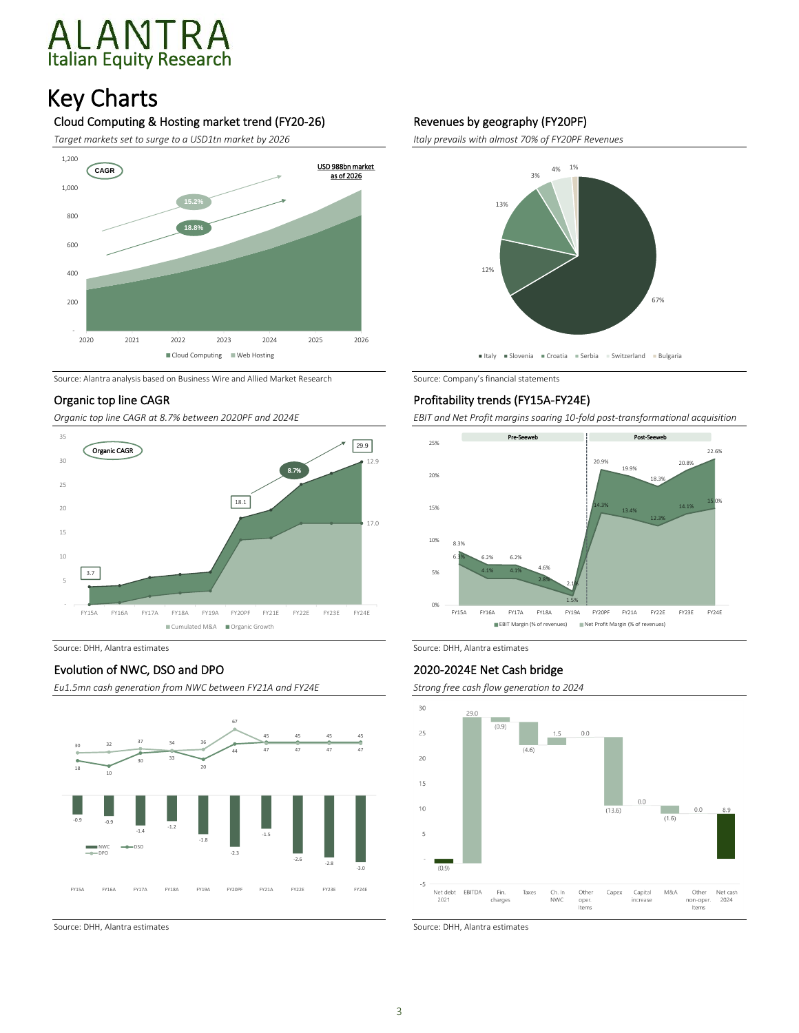# Italian Equity Research

### Key Charts

#### Cloud Computing & Hosting market trend (FY20-26)

*Target markets set to surge to a USD1tn market by 2026*



Source: Alantra analysis based on Business Wire and Allied Market Research Source: Company's financial statements

#### Organic top line CAGR

*Organic top line CAGR at 8.7% between 2020PF and 2024E*



#### Evolution of NWC, DSO and DPO

*Eu1.5mn cash generation from NWC between FY21A and FY24E*



#### Revenues by geography (FY20PF)

*Italy prevails with almost 70% of FY20PF Revenues*



#### Profitability trends (FY15A-FY24E)

*EBIT and Net Profit margins soaring 10-fold post-transformational acquisition*



Source: DHH, Alantra estimates Source: DHH, Alantra estimates Source: DHH, Alantra estimates

#### 2020-2024E Net Cash bridge

*Strong free cash flow generation to 2024*



Source: DHH, Alantra estimates Source: DHH, Alantra estimates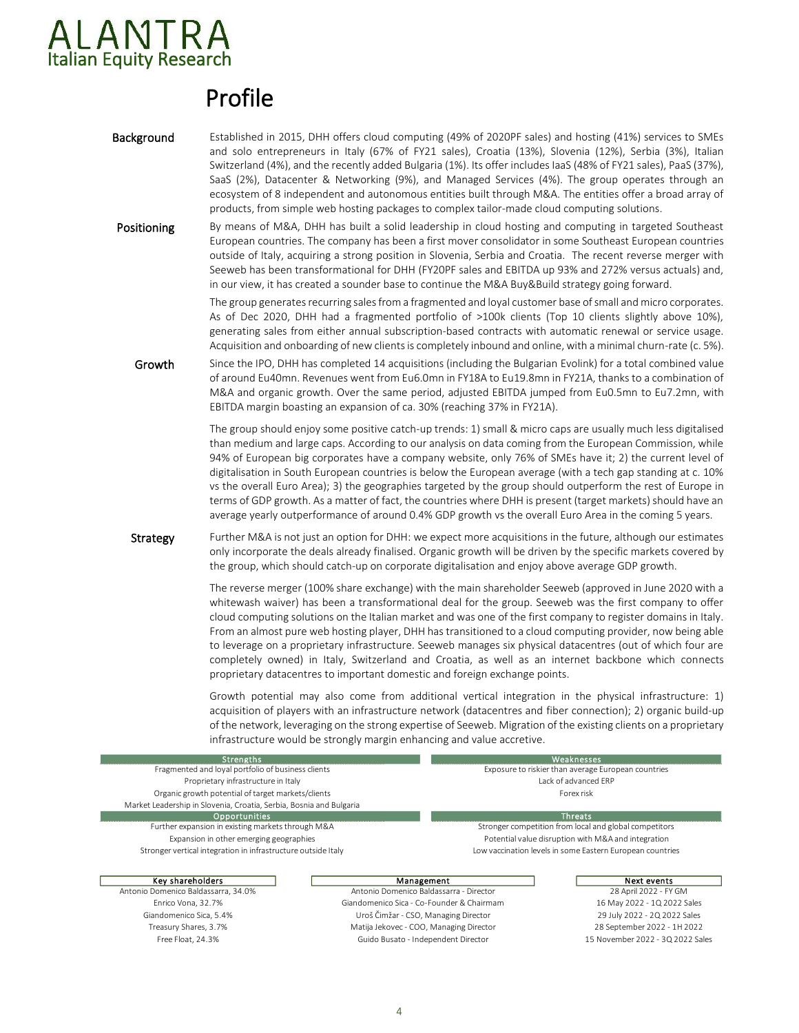

### Profile

- **Background** Established in 2015, DHH offers cloud computing (49% of 2020PF sales) and hosting (41%) services to SMEs and solo entrepreneurs in Italy (67% of FY21 sales), Croatia (13%), Slovenia (12%), Serbia (3%), Italian Switzerland (4%), and the recently added Bulgaria (1%). Its offer includes IaaS (48% of FY21 sales), PaaS (37%), SaaS (2%), Datacenter & Networking (9%), and Managed Services (4%). The group operates through an ecosystem of 8 independent and autonomous entities built through M&A. The entities offer a broad array of products, from simple web hosting packages to complex tailor-made cloud computing solutions.
- Positioning By means of M&A, DHH has built a solid leadership in cloud hosting and computing in targeted Southeast European countries. The company has been a first mover consolidator in some Southeast European countries outside of Italy, acquiring a strong position in Slovenia, Serbia and Croatia. The recent reverse merger with Seeweb has been transformational for DHH (FY20PF sales and EBITDA up 93% and 272% versus actuals) and, in our view, it has created a sounder base to continue the M&A Buy&Build strategy going forward.

The group generates recurring sales from a fragmented and loyal customer base of small and micro corporates. As of Dec 2020, DHH had a fragmented portfolio of >100k clients (Top 10 clients slightly above 10%), generating sales from either annual subscription-based contracts with automatic renewal or service usage. Acquisition and onboarding of new clients is completely inbound and online, with a minimal churn-rate (c. 5%).

Growth Since the IPO, DHH has completed 14 acquisitions (including the Bulgarian Evolink) for a total combined value of around Eu40mn. Revenues went from Eu6.0mn in FY18A to Eu19.8mn in FY21A, thanks to a combination of M&A and organic growth. Over the same period, adjusted EBITDA jumped from Eu0.5mn to Eu7.2mn, with EBITDA margin boasting an expansion of ca. 30% (reaching 37% in FY21A).

> The group should enjoy some positive catch-up trends: 1) small & micro caps are usually much less digitalised than medium and large caps. According to our analysis on data coming from the European Commission, while 94% of European big corporates have a company website, only 76% of SMEs have it; 2) the current level of digitalisation in South European countries is below the European average (with a tech gap standing at c. 10% vs the overall Euro Area); 3) the geographies targeted by the group should outperform the rest of Europe in terms of GDP growth. As a matter of fact, the countries where DHH is present (target markets) should have an average yearly outperformance of around 0.4% GDP growth vs the overall Euro Area in the coming 5 years.

Strategy Further M&A is not just an option for DHH: we expect more acquisitions in the future, although our estimates only incorporate the deals already finalised. Organic growth will be driven by the specific markets covered by the group, which should catch-up on corporate digitalisation and enjoy above average GDP growth.

> The reverse merger (100% share exchange) with the main shareholder Seeweb (approved in June 2020 with a whitewash waiver) has been a transformational deal for the group. Seeweb was the first company to offer cloud computing solutions on the Italian market and was one of the first company to register domains in Italy. From an almost pure web hosting player, DHH has transitioned to a cloud computing provider, now being able to leverage on a proprietary infrastructure. Seeweb manages six physical datacentres (out of which four are completely owned) in Italy, Switzerland and Croatia, as well as an internet backbone which connects proprietary datacentres to important domestic and foreign exchange points.

> Growth potential may also come from additional vertical integration in the physical infrastructure: 1) acquisition of players with an infrastructure network (datacentres and fiber connection); 2) organic build-up of the network, leveraging on the strong expertise of Seeweb. Migration of the existing clients on a proprietary infrastructure would be strongly margin enhancing and value accretive.

| <b>Strengths</b>                                                    | Weaknesses                                          |                                                           |  |  |  |  |
|---------------------------------------------------------------------|-----------------------------------------------------|-----------------------------------------------------------|--|--|--|--|
| Fragmented and loyal portfolio of business clients                  | Exposure to riskier than average European countries |                                                           |  |  |  |  |
| Proprietary infrastructure in Italy                                 | Lack of advanced FRP                                |                                                           |  |  |  |  |
| Organic growth potential of target markets/clients                  |                                                     | Forex risk                                                |  |  |  |  |
| Market Leadership in Slovenia, Croatia, Serbia, Bosnia and Bulgaria |                                                     |                                                           |  |  |  |  |
| <b>Opportunities</b>                                                |                                                     | <b>Threats</b>                                            |  |  |  |  |
| Further expansion in existing markets through M&A                   |                                                     | Stronger competition from local and global competitors    |  |  |  |  |
| Expansion in other emerging geographies                             | Potential value disruption with M&A and integration |                                                           |  |  |  |  |
| Stronger vertical integration in infrastructure outside Italy       |                                                     | Low vaccination levels in some Eastern European countries |  |  |  |  |
|                                                                     |                                                     |                                                           |  |  |  |  |
| Key shareholders                                                    | Management                                          | Next events                                               |  |  |  |  |
| Antonio Domenico Baldassarra, 34.0%                                 | Antonio Domenico Baldassarra - Director             | 28 April 2022 - FY GM                                     |  |  |  |  |
| Enrico Vona, 32.7%                                                  | Giandomenico Sica - Co-Founder & Chairmam           | 16 May 2022 - 1Q 2022 Sales                               |  |  |  |  |
| Giandomenico Sica, 5.4%                                             | Uroš Čimžar - CSO, Managing Director                | 29 July 2022 - 2Q 2022 Sales                              |  |  |  |  |
| Treasury Shares, 3.7%                                               | Matija Jekovec - COO, Managing Director             | 28 September 2022 - 1H 2022                               |  |  |  |  |
| Free Float, 24.3%                                                   | Guido Busato - Independent Director                 | 15 November 2022 - 3Q 2022 Sales                          |  |  |  |  |
|                                                                     |                                                     |                                                           |  |  |  |  |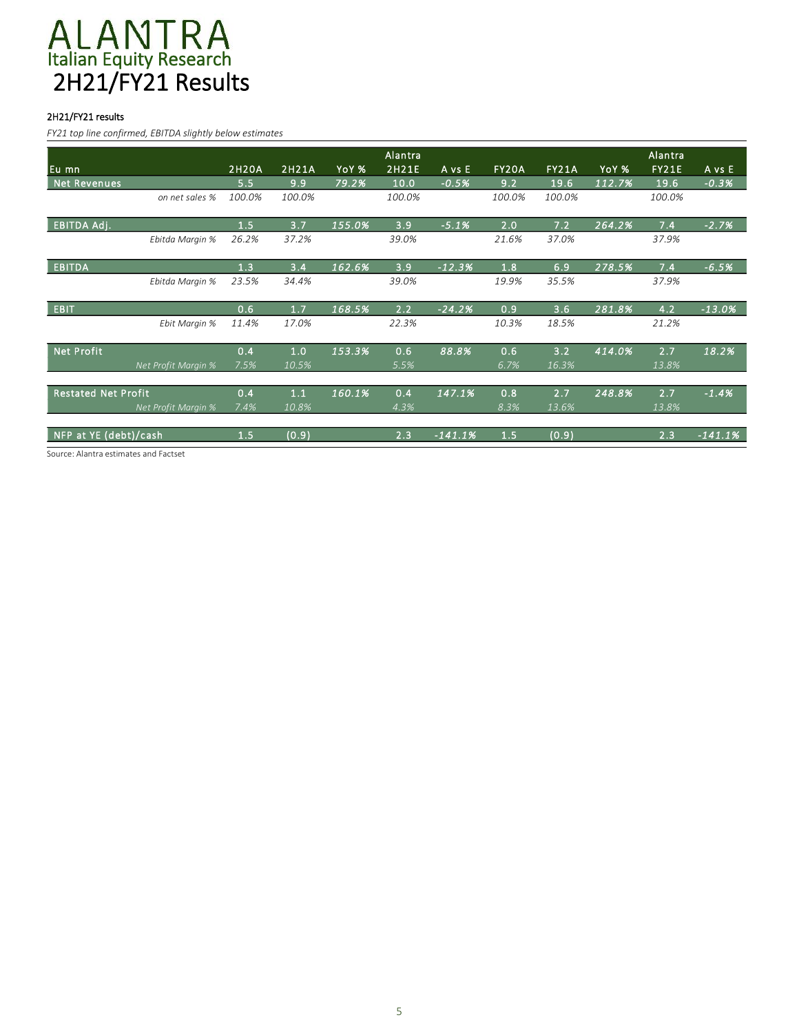## Italian Equity Research 2H21/FY21 Results

#### 2H21/FY21 results

*FY21 top line confirmed, EBITDA slightly below estimates*

|                            |        |        |        | Alantra |           |              |              |        | Alantra      |           |
|----------------------------|--------|--------|--------|---------|-----------|--------------|--------------|--------|--------------|-----------|
| Eu mn                      | 2H20A  | 2H21A  | YoY %  | 2H21E   | A vs E    | <b>FY20A</b> | <b>FY21A</b> | YoY %  | <b>FY21E</b> | A vs E    |
| <b>Net</b><br>Revenues     | 5.5    | 9.9    | 79.2%  | 10.0    | $-0.5%$   | 9.2          | 19.6         | 112.7% | 19.6         | $-0.3%$   |
| on net sales %             | 100.0% | 100.0% |        | 100.0%  |           | 100.0%       | 100.0%       |        | 100.0%       |           |
| <b>EBITDA Adj.</b>         | 1.5    | 3.7    | 155.0% | 3.9     | $-5.1%$   | 2.0          | 7.2          | 264.2% | 7.4          | $-2.7%$   |
| Ebitda Margin %            | 26.2%  | 37.2%  |        | 39.0%   |           | 21.6%        | 37.0%        |        | 37.9%        |           |
| <b>EBITDA</b>              | 1.3    | 3.4    | 162.6% | 3.9     | $-12.3%$  | 1.8          | 6.9          | 278.5% | 7.4          | $-6.5%$   |
| Ebitda Margin %            | 23.5%  | 34.4%  |        | 39.0%   |           | 19.9%        | 35.5%        |        | 37.9%        |           |
| EBIT                       | 0.6    | 1.7    | 168.5% | 2.2     | $-24.2%$  | 0.9          | 3.6          | 281.8% | 4.2          | $-13.0%$  |
| Ebit Margin %              | 11.4%  | 17.0%  |        | 22.3%   |           | 10.3%        | 18.5%        |        | 21.2%        |           |
| <b>Net Profit</b>          | 0.4    | 1.0    | 153.3% | 0.6     | 88.8%     | 0.6          | 3.2          | 414.0% | 2.7          | 18.2%     |
| Net Profit Margin %        | 7.5%   | 10.5%  |        | 5.5%    |           | 6.7%         | 16.3%        |        | 13.8%        |           |
| <b>Restated Net Profit</b> | 0.4    | 1.1    | 160.1% | 0.4     | 147.1%    | 0.8          | 2.7          | 248.8% | 2.7          | $-1.4%$   |
| Net Profit Margin %        | 7.4%   | 10.8%  |        | 4.3%    |           | 8.3%         | 13.6%        |        | 13.8%        |           |
| NFP at YE (debt)/cash      | 1.5    | (0.9)  |        | 2.3     | $-141.1%$ | 1.5          | (0.9)        |        | 2.3          | $-141.1%$ |

Source: Alantra estimates and Factset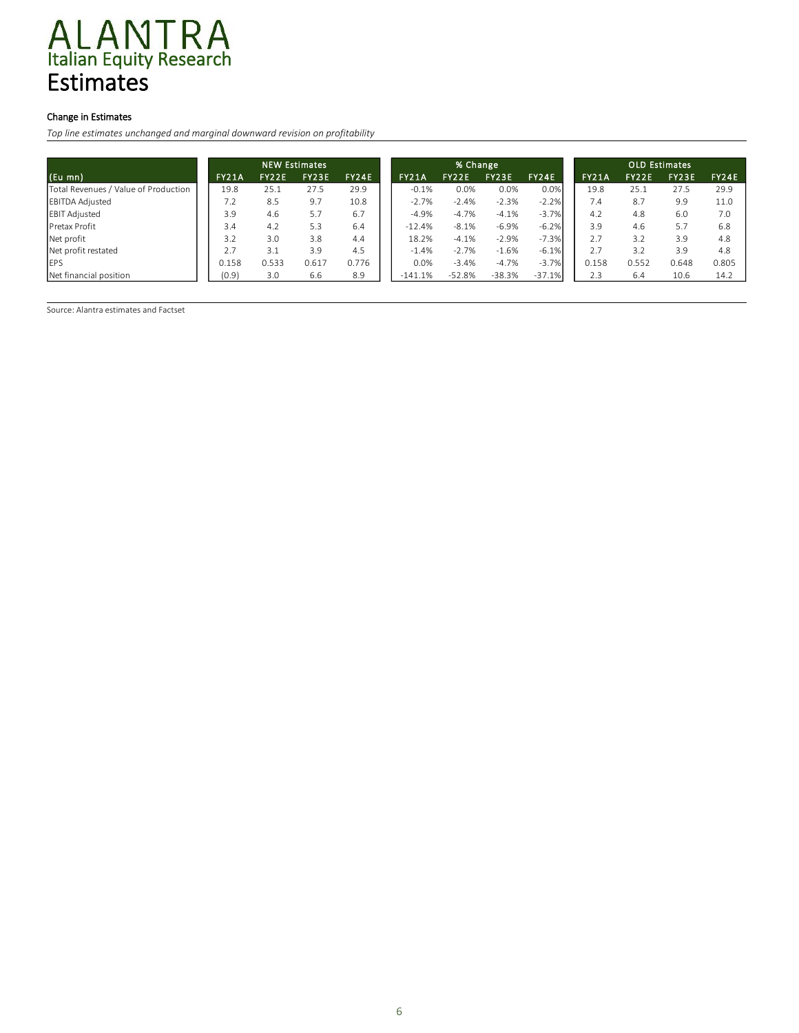## Italian Equity Research Estimates

#### Change in Estimates

*Top line estimates unchanged and marginal downward revision on profitability*

|                                      | <b>NEW Estimates</b> |              |       |       | % Change     |              |          |          | <b>OLD</b> Estimates |              |       |       |
|--------------------------------------|----------------------|--------------|-------|-------|--------------|--------------|----------|----------|----------------------|--------------|-------|-------|
| $(Eu$ mn)                            | FY21A                | <b>FY22E</b> | FY23E | FY24E | <b>FY21A</b> | <b>FY22E</b> | FY23E    | FY24E    | <b>FY21A</b>         | <b>FY22E</b> | FY23E | FY24E |
| Total Revenues / Value of Production | 19.8                 | 25.1         | 27.5  | 29.9  | $-0.1%$      | 0.0%         | 0.0%     | 0.0%     | 19.8                 | 25.1         | 27.5  |       |
| <b>EBITDA Adjusted</b>               | 7.2                  | 8.5          | 9.7   | 10.8  | $-2.7%$      | $-2.4%$      | $-2.3%$  | $-2.2%$  | 7.4                  | 8.7          | 9.9   |       |
| <b>EBIT Adjusted</b>                 | 3.9                  | 4.6          | 5.7   | 6.7   | $-4.9%$      | $-4.7%$      | $-4.1%$  | $-3.7%$  | 4.2                  | 4.8          | 6.0   |       |
| Pretax Profit                        | 3.4                  | 4.2          | 5.3   | 6.4   | $-12.4%$     | $-8.1%$      | $-6.9%$  | $-6.2%$  | 3.9                  | 4.6          | 5.7   |       |
| Net profit                           | 3.2                  | 3.0          | 3.8   | 4.4   | 18.2%        | $-4.1%$      | $-2.9%$  | $-7.3%$  | 2.7                  | 3.2          | 3.9   |       |
| Net profit restated                  | 2.7                  | 3.1          | 3.9   | 4.5   | $-1.4%$      | $-2.7%$      | $-1.6%$  | $-6.1%$  | 2.7                  | 3.2          | 3.9   |       |
| <b>IEPS</b>                          | 0.158                | 0.533        | 0.617 | 0.776 | 0.0%         | $-3.4%$      | $-4.7%$  | $-3.7%$  | 0.158                | 0.552        | 0.648 |       |
| Net financial position               | (0.9)                | 3.0          | 6.6   | 8.9   | $-141.1%$    | -52.8%       | $-38.3%$ | $-37.1%$ | 2.3                  | 6.4          | 10.6  |       |

Source: Alantra estimates and Factset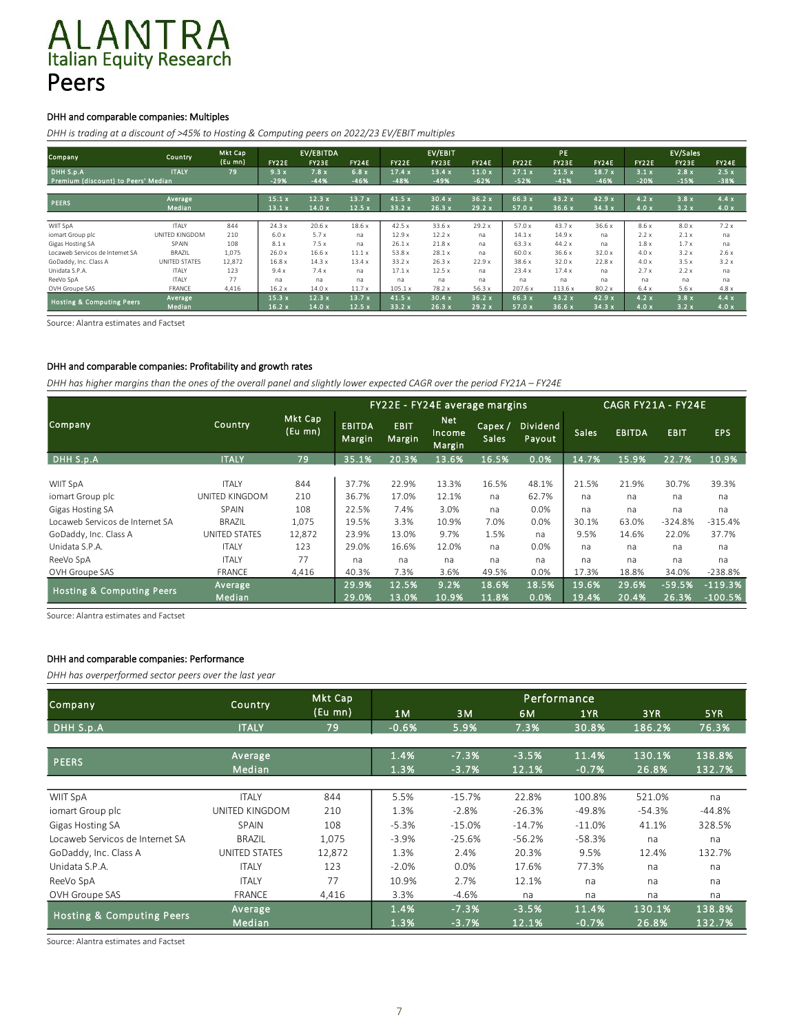## ALANTRA<br>Italian Equity Research Peers

#### DHH and comparable companies: Multiples

*DHH is trading at a discount of >45% to Hosting & Computing peers on 2022/23 EV/EBIT multiples*

|                                      |                   | Mkt Cap |                | <b>EV/EBITDA</b> |                |                |                 | EV/EBIT         |                  |                    |                 |               | EV/Sales     |              |
|--------------------------------------|-------------------|---------|----------------|------------------|----------------|----------------|-----------------|-----------------|------------------|--------------------|-----------------|---------------|--------------|--------------|
| Company,                             | Country           | (Eu mn) | FY22E          | FY23E            | <b>FY24E</b>   | FY22E          | FY23E           | <b>FY24E</b>    | <b>FY22E</b>     | <b>PE</b><br>FY23E | <b>FY24E</b>    | FY22E         | FY23E        | <b>FY24E</b> |
| DHH S.p.A                            | <b>ITALY</b>      | 79      | 9.3x           | 7.8x             | 6.8x           | 17.4x          | 13.4x           | 11.0x           | 27.1x            | 21.5x              | 18.7x           | 3.1x          | 2.8x         | 2.5x         |
| Premium (discount) to Peers' Median  |                   |         | $-29%$         | $-44%$           | $-46%$         | $-48%$         | $-49%$          | $-62%$          | $-52%$           | $-41%$             | $-46%$          | $-20%$        | $-15%$       | $-38%$       |
|                                      |                   |         |                |                  |                |                |                 |                 |                  |                    |                 |               |              |              |
| <b>PEERS</b>                         | Average<br>Median |         | 15.1x<br>13.1x | 12.3x<br>14.0x   | 13.7x<br>12.5x | 41.5x<br>33.2x | 30.4 x<br>26.3x | 36.2 x<br>29.2x | 66.3 x<br>57.0 x | 43.2 x<br>36.6x    | 42.9 x<br>34.3x | 4.2x<br>4.0 x | 3.8x<br>3.2x | 4.4x<br>4.0x |
|                                      |                   |         |                |                  |                |                |                 |                 |                  |                    |                 |               |              |              |
| WIIT SpA                             | <b>ITALY</b>      | 844     | 24.3x          | 20.6x            | 18.6x          | 42.5x          | 33.6 x          | 29.2x           | 57.0 x           | 43.7 x             | 36.6 x          | 8.6x          | 8.0x         | 7.2x         |
| iomart Group plc                     | UNITED KINGDOM    | 210     | 6.0x           | 5.7x             | na             | 12.9x          | 12.2x           | na              | 14.1x            | 14.9x              | na              | 2.2x          | 2.1x         | na           |
| Gigas Hosting SA                     | SPAIN             | 108     | 8.1x           | 7.5x             | na             | 26.1x          | 21.8x           | na              | 63.3x            | 44.2 x             | na              | 1.8x          | 1.7x         | na           |
| Locaweb Servicos de Internet SA      | BRAZIL            | 1,075   | 26.0x          | 16.6x            | 11.1x          | 53.8 x         | 28.1x           | na              | 60.0 x           | 36.6 x             | 32.0x           | 4.0x          | 3.2x         | 2.6x         |
| GoDaddy, Inc. Class A                | UNITED STATES     | 12,872  | 16.8x          | 14.3x            | 13.4x          | 33.2x          | 26.3x           | 22.9x           | 38.6 x           | 32.0x              | 22.8x           | 4.0x          | 3.5x         | 3.2x         |
| Unidata S.P.A.                       | <b>ITALY</b>      | 123     | 9.4x           | 7.4x             | na             | 17.1x          | 12.5x           | na              | 23.4x            | 17.4x              | na              | 2.7x          | 2.2x         | na           |
| ReeVo SpA                            | <b>ITALY</b>      | 77      | na             | na               | na             | na             | na              | na              | na               | na                 | na              | na            | na           | na           |
| OVH Groupe SAS                       | FRANCE            | 4.416   | 16.2x          | 14.0x            | 11.7x          | 105.1x         | 78.2 x          | 56.3x           | 207.6 x          | 113.6x             | 80.2x           | 6.4x          | 5.6x         | 4.8x         |
| <b>Hosting &amp; Computing Peers</b> | Average           |         | 15.3x          | 12.3x            | 13.7x          | 41.5 x         | 30.4x           | 36.2x           | 66.3 x           | 43.2 x             | 42.9 x          | 4.2x          | 3.8x         | 4.4x         |
|                                      | <b>Median</b>     |         | 16.2x          | 14.0x            | 12.5x          | 33.2x          | 26.3x           | 29.2x           | 57.0 x           | 36.6x              | 34.3x           | 4.0x          | 3.2x         | 4.0x         |

Source: Alantra estimates and Factset

#### DHH and comparable companies: Profitability and growth rates

*DHH has higher margins than the ones of the overall panel and slightly lower expected CAGR over the period FY21A – FY24E*

|                                      |                      |                    |                         |                        | <b>FY22E - FY24E average margins</b> |                         |                    | CAGR FY21A - FY24E |               |             |            |  |
|--------------------------------------|----------------------|--------------------|-------------------------|------------------------|--------------------------------------|-------------------------|--------------------|--------------------|---------------|-------------|------------|--|
| Company                              | Country              | Mkt Cap<br>(Eu mn) | <b>EBITDA</b><br>Margin | <b>EBIT</b><br>Margin, | <b>Net</b><br>Income<br>Margin       | Capex /<br><b>Sales</b> | Dividend<br>Payout | <b>Sales</b>       | <b>EBITDA</b> | <b>EBIT</b> | <b>EPS</b> |  |
| DHH S.p.A                            | <b>ITALY</b>         | 79                 | 35.1%                   | 20.3%                  | 13.6%                                | 16.5%                   | 0.0%               | 14.7%              | 15.9%         | 22.7%       | 10.9%      |  |
| <b>WIIT SpA</b>                      | <b>ITALY</b>         | 844                | 37.7%                   | 22.9%                  | 13.3%                                | 16.5%                   | 48.1%              | 21.5%              | 21.9%         | 30.7%       | 39.3%      |  |
| iomart Group plc                     | UNITED KINGDOM       | 210                | 36.7%                   | 17.0%                  | 12.1%                                | na                      | 62.7%              | na                 | na            | na          | na         |  |
| Gigas Hosting SA                     | <b>SPAIN</b>         | 108                | 22.5%                   | 7.4%                   | 3.0%                                 | na                      | 0.0%               | na                 | na            | na          | na         |  |
| Locaweb Servicos de Internet SA      | <b>BRAZIL</b>        | 1,075              | 19.5%                   | 3.3%                   | 10.9%                                | 7.0%                    | 0.0%               | 30.1%              | 63.0%         | $-324.8%$   | $-315.4%$  |  |
| GoDaddy, Inc. Class A                | <b>UNITED STATES</b> | 12,872             | 23.9%                   | 13.0%                  | 9.7%                                 | 1.5%                    | na                 | 9.5%               | 14.6%         | 22.0%       | 37.7%      |  |
| Unidata S.P.A.                       | <b>ITALY</b>         | 123                | 29.0%                   | 16.6%                  | 12.0%                                | na                      | 0.0%               | na                 | na            | na          | na         |  |
| ReeVo SpA                            | <b>ITALY</b>         | 77                 | na                      | na                     | na                                   | na                      | na                 | na                 | na            | na          | na         |  |
| OVH Groupe SAS                       | <b>FRANCE</b>        | 4,416              | 40.3%                   | 7.3%                   | 3.6%                                 | 49.5%                   | 0.0%               | 17.3%              | 18.8%         | 34.0%       | $-238.8%$  |  |
| <b>Hosting &amp; Computing Peers</b> | Average              |                    | 29.9%                   | 12.5%                  | 9.2%                                 | 18.6%                   | 18.5%              | 19.6%              | 29.6%         | $-59.5%$    | $-119.3%$  |  |
|                                      | Median               |                    | 29.0%                   | 13.0%                  | 10.9%                                | 11.8%                   | 0.0%               | 19.4%              | 20.4%         | 26.3%       | $-100.5%$  |  |

Source: Alantra estimates and Factset

#### DHH and comparable companies: Performance

*DHH has overperformed sector peers over the last year*

| Company                              | Country              | Mkt Cap |         |          |          | Performance |          |          |
|--------------------------------------|----------------------|---------|---------|----------|----------|-------------|----------|----------|
|                                      |                      | (Eu mn) | 1M      | 3M       | 6M       | 1YR         | 3YR      | 5YR      |
| DHH S.p.A                            | <b>ITALY</b>         | 79      | $-0.6%$ | 5.9%     | 7.3%     | 30.8%       | 186.2%   | 76.3%    |
|                                      |                      |         |         |          |          |             |          |          |
| <b>PEERS</b>                         | Average              |         | 1.4%    | $-7.3%$  | $-3.5%$  | 11.4%       | 130.1%   | 138.8%   |
|                                      | Median               |         | 1.3%    | $-3.7%$  | 12.1%    | $-0.7%$     | 26.8%    | 132.7%   |
|                                      |                      |         |         |          |          |             |          |          |
| <b>WIIT SpA</b>                      | <b>ITALY</b>         | 844     | 5.5%    | $-15.7%$ | 22.8%    | 100.8%      | 521.0%   | na       |
| iomart Group plc                     | UNITED KINGDOM       | 210     | 1.3%    | $-2.8%$  | $-26.3%$ | $-49.8%$    | $-54.3%$ | $-44.8%$ |
| Gigas Hosting SA                     | <b>SPAIN</b>         | 108     | $-5.3%$ | $-15.0%$ | $-14.7%$ | $-11.0%$    | 41.1%    | 328.5%   |
| Locaweb Servicos de Internet SA      | <b>BRAZIL</b>        | 1,075   | $-3.9%$ | $-25.6%$ | $-56.2%$ | $-58.3%$    | na       | na       |
| GoDaddy, Inc. Class A                | <b>UNITED STATES</b> | 12,872  | 1.3%    | 2.4%     | 20.3%    | 9.5%        | 12.4%    | 132.7%   |
| Unidata S.P.A.                       | <b>ITALY</b>         | 123     | $-2.0%$ | 0.0%     | 17.6%    | 77.3%       | na       | na       |
| ReeVo SpA                            | <b>ITALY</b>         | 77      | 10.9%   | 2.7%     | 12.1%    | na          | na       | na       |
| OVH Groupe SAS                       | <b>FRANCE</b>        | 4,416   | 3.3%    | $-4.6%$  | na       | na          | na       | na       |
|                                      | Average              |         | 1.4%    | $-7.3%$  | $-3.5%$  | 11.4%       | 130.1%   | 138.8%   |
| <b>Hosting &amp; Computing Peers</b> | Median               |         | 1.3%    | $-3.7%$  | 12.1%    | $-0.7%$     | 26.8%    | 132.7%   |

Source: Alantra estimates and Factset